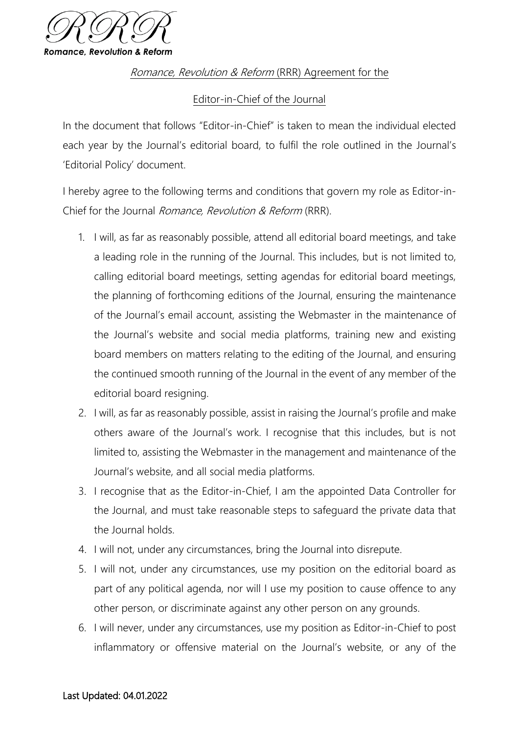

Romance, Revolution & Reform (RRR) Agreement for the

## Editor-in-Chief of the Journal

In the document that follows "Editor-in-Chief" is taken to mean the individual elected each year by the Journal's editorial board, to fulfil the role outlined in the Journal's 'Editorial Policy' document.

I hereby agree to the following terms and conditions that govern my role as Editor-in-Chief for the Journal Romance, Revolution & Reform (RRR).

- 1. I will, as far as reasonably possible, attend all editorial board meetings, and take a leading role in the running of the Journal. This includes, but is not limited to, calling editorial board meetings, setting agendas for editorial board meetings, the planning of forthcoming editions of the Journal, ensuring the maintenance of the Journal's email account, assisting the Webmaster in the maintenance of the Journal's website and social media platforms, training new and existing board members on matters relating to the editing of the Journal, and ensuring the continued smooth running of the Journal in the event of any member of the editorial board resigning.
- 2. I will, as far as reasonably possible, assist in raising the Journal's profile and make others aware of the Journal's work. I recognise that this includes, but is not limited to, assisting the Webmaster in the management and maintenance of the Journal's website, and all social media platforms.
- 3. I recognise that as the Editor-in-Chief, I am the appointed Data Controller for the Journal, and must take reasonable steps to safeguard the private data that the Journal holds.
- 4. I will not, under any circumstances, bring the Journal into disrepute.
- 5. I will not, under any circumstances, use my position on the editorial board as part of any political agenda, nor will I use my position to cause offence to any other person, or discriminate against any other person on any grounds.
- 6. I will never, under any circumstances, use my position as Editor-in-Chief to post inflammatory or offensive material on the Journal's website, or any of the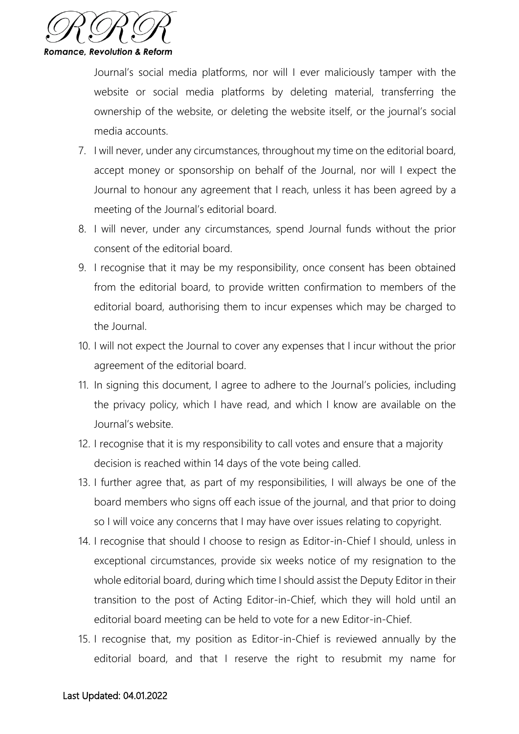

Journal's social media platforms, nor will I ever maliciously tamper with the website or social media platforms by deleting material, transferring the ownership of the website, or deleting the website itself, or the journal's social media accounts.

- 7. I will never, under any circumstances, throughout my time on the editorial board, accept money or sponsorship on behalf of the Journal, nor will I expect the Journal to honour any agreement that I reach, unless it has been agreed by a meeting of the Journal's editorial board.
- 8. I will never, under any circumstances, spend Journal funds without the prior consent of the editorial board.
- 9. I recognise that it may be my responsibility, once consent has been obtained from the editorial board, to provide written confirmation to members of the editorial board, authorising them to incur expenses which may be charged to the Journal.
- 10. I will not expect the Journal to cover any expenses that I incur without the prior agreement of the editorial board.
- 11. In signing this document, I agree to adhere to the Journal's policies, including the privacy policy, which I have read, and which I know are available on the Journal's website.
- 12. I recognise that it is my responsibility to call votes and ensure that a majority decision is reached within 14 days of the vote being called.
- 13. I further agree that, as part of my responsibilities, I will always be one of the board members who signs off each issue of the journal, and that prior to doing so I will voice any concerns that I may have over issues relating to copyright.
- 14. I recognise that should I choose to resign as Editor-in-Chief I should, unless in exceptional circumstances, provide six weeks notice of my resignation to the whole editorial board, during which time I should assist the Deputy Editor in their transition to the post of Acting Editor-in-Chief, which they will hold until an editorial board meeting can be held to vote for a new Editor-in-Chief.
- 15. I recognise that, my position as Editor-in-Chief is reviewed annually by the editorial board, and that I reserve the right to resubmit my name for